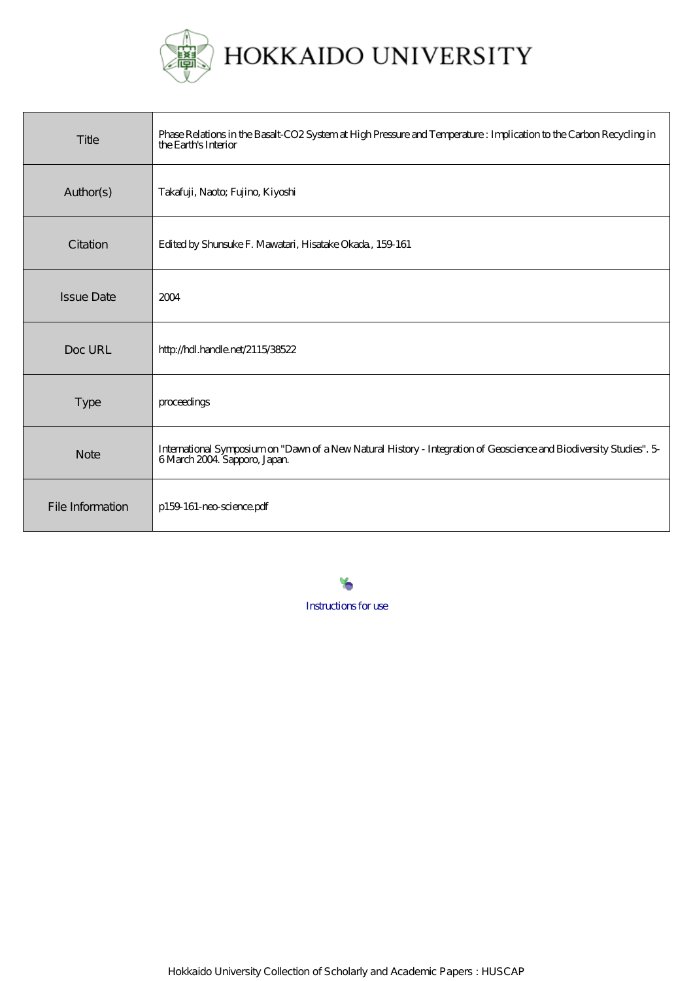

# HOKKAIDO UNIVERSITY

| Title             | Phase Relations in the Basalt-CO2 System at High Pressure and Temperature : Implication to the Carbon Recycling in<br>the Earth's Interior        |
|-------------------|---------------------------------------------------------------------------------------------------------------------------------------------------|
| Author(s)         | Takafuji, Naoto; Fujino, Kiyoshi                                                                                                                  |
| Citation          | Edited by Shunsuke F. Mawatari, Hisatake Okada, 159 161                                                                                           |
| <b>Issue Date</b> | 2004                                                                                                                                              |
| Doc URL           | http://hdl.handle.net/2115/38522                                                                                                                  |
| Type              | proceedings                                                                                                                                       |
| <b>Note</b>       | International Symposium on "Dawn of a New Natural History - Integration of Geoscience and Biodiversity Studies". 5<br>6 March 2004 Sapporo, Japan |
| File Information  | p159-161-neo-science.pdf                                                                                                                          |

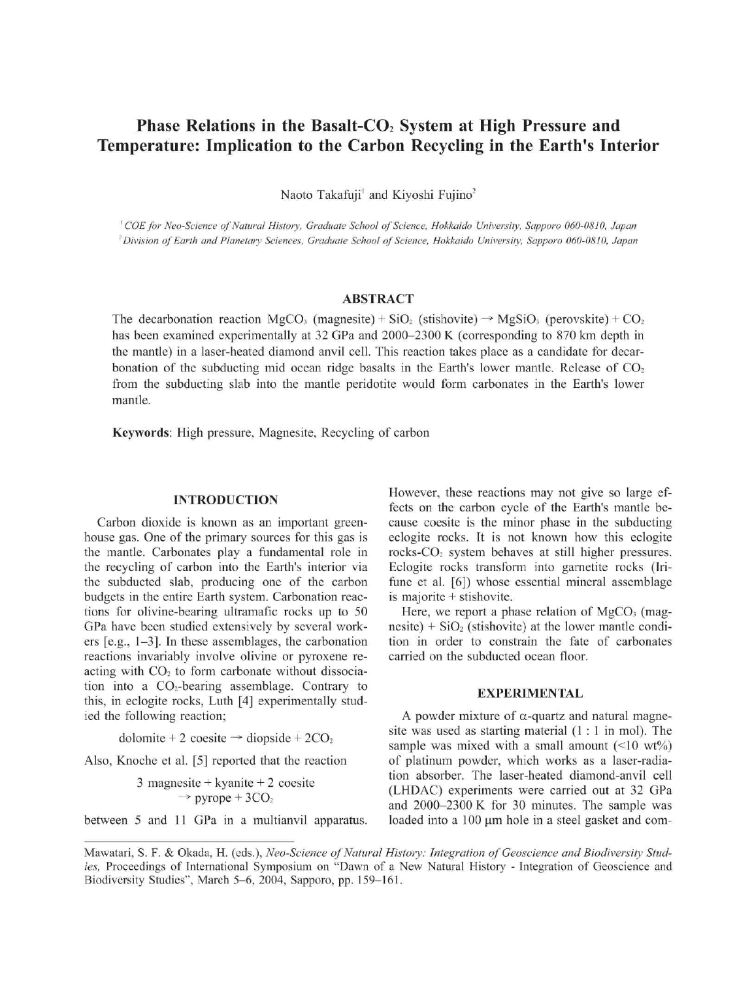# Phase Relations in the Basalt-CO<sub>2</sub> System at High Pressure and Temperature: Implication to the Carbon Recycling in the Earth's Interior

Naoto Takafuji<sup>1</sup> and Kiyoshi Fujino<sup>2</sup>

' COE for Neo-Science of Natural History, Graduate School of Science, Hokkaido University, Sapporo 060-0810, Japan ~Division of Earth and Planetary Sciences , Graduate School of Science, Hokkaido University, Sapporo 060-0810, Japan

# ABSTRACT

The decarbonation reaction MgCO<sub>3</sub> (magnesite) + SiO<sub>2</sub> (stishovite)  $\rightarrow$  MgSiO<sub>3</sub> (perovskite) + CO<sub>2</sub> has been examined experimentally at 32 GPa and 2000–2300 K (corresponding to 870 km depth in the mantle) in a laser-heated diamond anvil cell. This reaction takes place as a candidate for decarbonation of the subducting mid ocean ridge basalts in the Earth's lower mantle. Release of  $CO<sub>2</sub>$ from the subducting slab into the mantle peridotite would form carbonates in the Earth's lower mantle.

Keywords: High pressure, Magnesite, Recycling of carbon

## INTRODUCTION

Carbon dioxide is known as an important greenhouse gas. One of the primary sources for this gas is the mantle. Carbonates play a fundamental role in the recycling of carbon into the Earth's interior via the subducted slab, producing one of the carbon budgets in the entire Earth system. Carbonation reactions for olivine-bearing ultramafic rocks up to 50 GPa have been studied extensively by several workers [e.g., 1-3]. In these assemblages, the carbonation reactions invariably involve olivine or pyroxene reacting with  $CO<sub>2</sub>$  to form carbonate without dissociation into a  $CO<sub>2</sub>$ -bearing assemblage. Contrary to this, in eclogite rocks, Luth [4] experimentally studied the following reaction;

dolomite + 2 coesite  $\rightarrow$  diopside + 2CO<sub>2</sub>

Also, Knoche et al. [5] reported that the reaction

3 magnesite + kyanite + 2 cosite  
\n
$$
\rightarrow
$$
 pyrope + 3CO<sub>2</sub>

between 5 and 11 GPa in a multianvil apparatus.

However, these reactions may not give so large effects on the carbon cycle of the Earth's mantle because coesite is the minor phase in the subducting eclogite rocks. It is not known how this eclogite rocks-CO<sub>2</sub> system behaves at still higher pressures. Eclogite rocks transform into garnetite rocks (Irifune et al. [6]) whose essential mineral assemblage is majorite  $+$  stishovite.

Here, we report a phase relation of  $MgCO<sub>3</sub>$  (magnesite) +  $SiO<sub>2</sub>$  (stishovite) at the lower mantle condition in order to constrain the fate of carbonates carried on the subducted ocean floor.

#### EXPERIMENTAL

A powder mixture of  $\alpha$ -quartz and natural magnesite was used as starting material  $(1:1$  in mol). The sample was mixed with a small amount  $(\leq 10 \text{ wt\%})$ of platinum powder, which works as a laser-radiation absorber. The laser-heated diamond-anvil cell (LHDAC) experiments were carried out at 32 GPa and 2000-2300 K for 30 minutes. The sample was loaded into a 100  $\mu$ m hole in a steel gasket and com-

Mawatari, S. F. & Okada, H. (eds.), Neo-Science of Natural History: Integration of Geoscience and Biodiversity Studies, Proceedings of International Symposium on "Dawn of a New Natural History - Integration of Geoscience and Biodiversity Studies", March 5-6, 2004, Sapporo, pp. 159-161.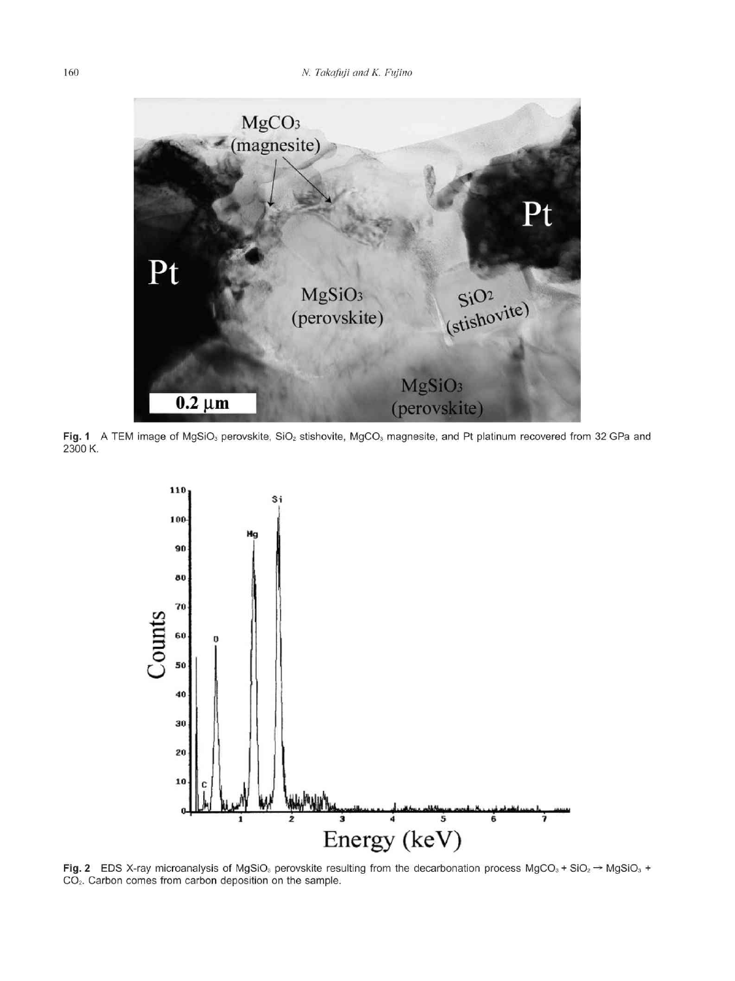

Fig. 1 A TEM image of MgSiO<sub>3</sub> perovskite, SiO<sub>2</sub> stishovite, MgCO<sub>3</sub> magnesite, and Pt platinum recovered from 32 GPa an 2300 K.



Fig. 2 EDS X-ray microanalysis of MgSiO<sub>3</sub> perovskite resulting from the decarbonation process MgCO<sub>3</sub> + SiO<sub>2</sub>  $\rightarrow$  MgSiO<sub>3</sub> + CO<sub>2</sub>. Carbon comes from carbon deposition on the sample.